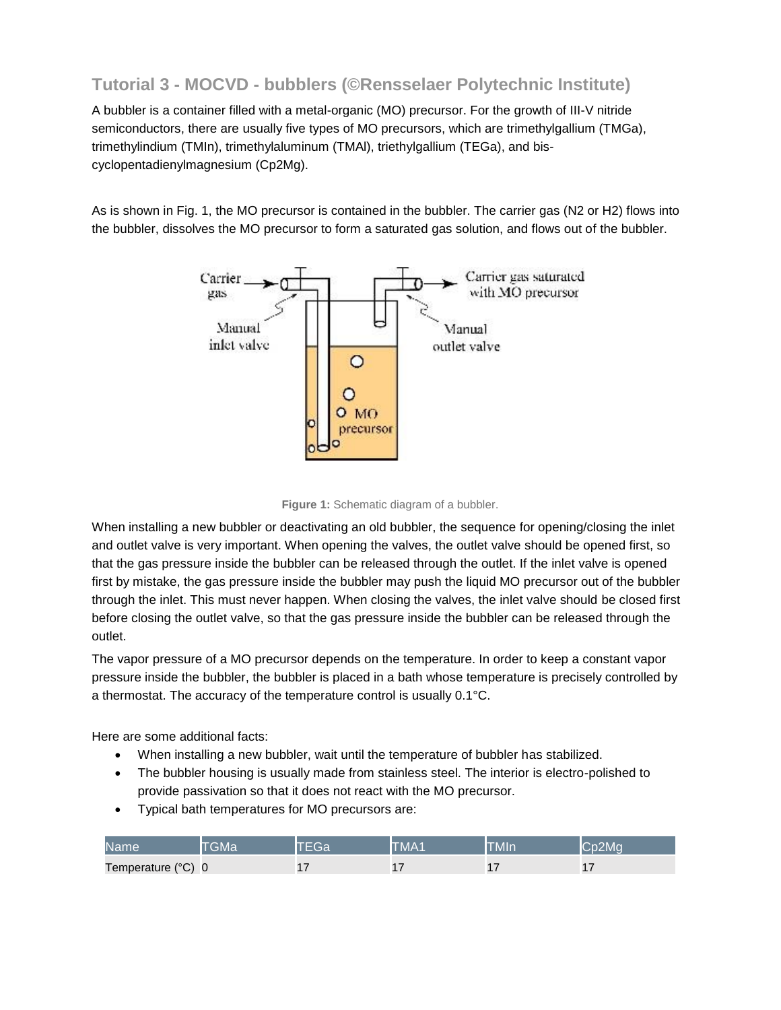## **Tutorial 3 - MOCVD - bubblers (©Rensselaer Polytechnic Institute)**

A bubbler is a container filled with a metal-organic (MO) precursor. For the growth of III-V nitride semiconductors, there are usually five types of MO precursors, which are trimethylgallium (TMGa), trimethylindium (TMIn), trimethylaluminum (TMAl), triethylgallium (TEGa), and biscyclopentadienylmagnesium (Cp2Mg).

As is shown in Fig. 1, the MO precursor is contained in the bubbler. The carrier gas (N2 or H2) flows into the bubbler, dissolves the MO precursor to form a saturated gas solution, and flows out of the bubbler.





When installing a new bubbler or deactivating an old bubbler, the sequence for opening/closing the inlet and outlet valve is very important. When opening the valves, the outlet valve should be opened first, so that the gas pressure inside the bubbler can be released through the outlet. If the inlet valve is opened first by mistake, the gas pressure inside the bubbler may push the liquid MO precursor out of the bubbler through the inlet. This must never happen. When closing the valves, the inlet valve should be closed first before closing the outlet valve, so that the gas pressure inside the bubbler can be released through the outlet.

The vapor pressure of a MO precursor depends on the temperature. In order to keep a constant vapor pressure inside the bubbler, the bubbler is placed in a bath whose temperature is precisely controlled by a thermostat. The accuracy of the temperature control is usually 0.1°C.

Here are some additional facts:

- When installing a new bubbler, wait until the temperature of bubbler has stabilized.
- The bubbler housing is usually made from stainless steel. The interior is electro-polished to provide passivation so that it does not react with the MO precursor.
- Typical bath temperatures for MO precursors are:

| <b>IName</b>       | GMa |          | TMA1 | <b>TMIn</b> | $\sim$ 2Mo $\sim$ |
|--------------------|-----|----------|------|-------------|-------------------|
| Temperature (°C) 0 |     | -<br>. . | . .  |             |                   |